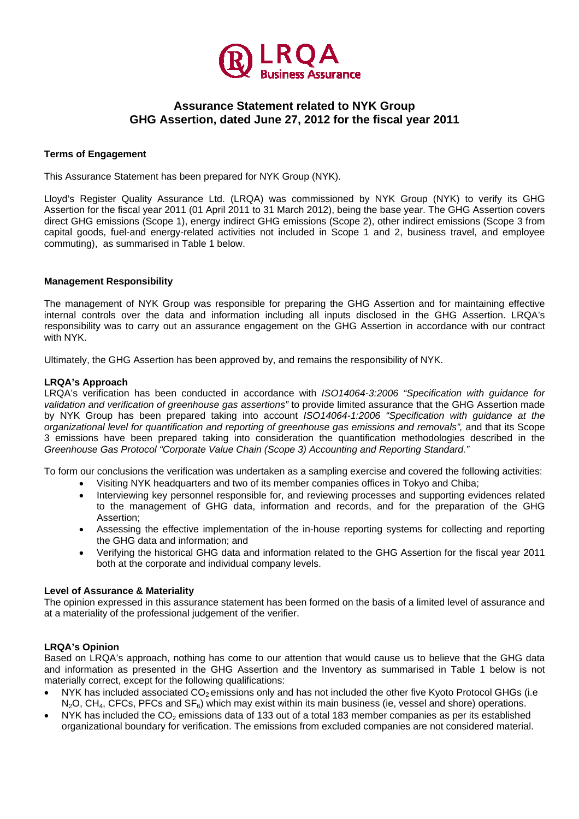

# **Assurance Statement related to NYK Group GHG Assertion, dated June 27, 2012 for the fiscal year 2011**

## **Terms of Engagement**

This Assurance Statement has been prepared for NYK Group (NYK).

Lloyd's Register Quality Assurance Ltd. (LRQA) was commissioned by NYK Group (NYK) to verify its GHG Assertion for the fiscal year 2011 (01 April 2011 to 31 March 2012), being the base year. The GHG Assertion covers direct GHG emissions (Scope 1), energy indirect GHG emissions (Scope 2), other indirect emissions (Scope 3 from capital goods, fuel-and energy-related activities not included in Scope 1 and 2, business travel, and employee commuting), as summarised in Table 1 below.

### **Management Responsibility**

The management of NYK Group was responsible for preparing the GHG Assertion and for maintaining effective internal controls over the data and information including all inputs disclosed in the GHG Assertion. LRQA's responsibility was to carry out an assurance engagement on the GHG Assertion in accordance with our contract with NYK.

Ultimately, the GHG Assertion has been approved by, and remains the responsibility of NYK.

#### **LRQA's Approach**

LRQA's verification has been conducted in accordance with *ISO14064-3:2006 "Specification with guidance for validation and verification of greenhouse gas assertions"* to provide limited assurance that the GHG Assertion made by NYK Group has been prepared taking into account *ISO14064-1:2006 "Specification with guidance at the organizational level for quantification and reporting of greenhouse gas emissions and removals",* and that its Scope 3 emissions have been prepared taking into consideration the quantification methodologies described in the *Greenhouse Gas Protocol "Corporate Value Chain (Scope 3) Accounting and Reporting Standard."* 

To form our conclusions the verification was undertaken as a sampling exercise and covered the following activities:

- Visiting NYK headquarters and two of its member companies offices in Tokyo and Chiba;
- Interviewing key personnel responsible for, and reviewing processes and supporting evidences related to the management of GHG data, information and records, and for the preparation of the GHG Assertion;
- Assessing the effective implementation of the in-house reporting systems for collecting and reporting the GHG data and information; and
- Verifying the historical GHG data and information related to the GHG Assertion for the fiscal year 2011 both at the corporate and individual company levels.

#### **Level of Assurance & Materiality**

The opinion expressed in this assurance statement has been formed on the basis of a limited level of assurance and at a materiality of the professional judgement of the verifier.

#### **LRQA's Opinion**

Based on LRQA's approach, nothing has come to our attention that would cause us to believe that the GHG data and information as presented in the GHG Assertion and the Inventory as summarised in Table 1 below is not materially correct, except for the following qualifications:

- NYK has included associated CO<sub>2</sub> emissions only and has not included the other five Kyoto Protocol GHGs (i.e  $N_2O$ , CH<sub>4</sub>, CFCs, PFCs and SF<sub>6</sub>) which may exist within its main business (ie, vessel and shore) operations.
- NYK has included the  $CO<sub>2</sub>$  emissions data of 133 out of a total 183 member companies as per its established organizational boundary for verification. The emissions from excluded companies are not considered material.